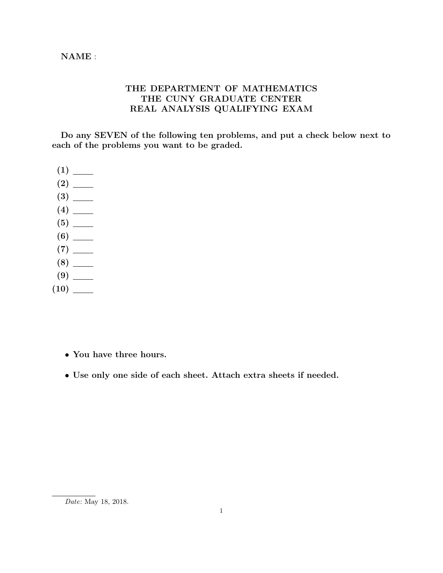## THE DEPARTMENT OF MATHEMATICS THE CUNY GRADUATE CENTER REAL ANALYSIS QUALIFYING EXAM

Do any SEVEN of the following ten problems, and put a check below next to each of the problems you want to be graded.

- (1) (2) (3) (4) (5) (6)
- (7)
- (8)
- (9)
- (10)
	- You have three hours.
	- Use only one side of each sheet. Attach extra sheets if needed.

Date: May 18, 2018.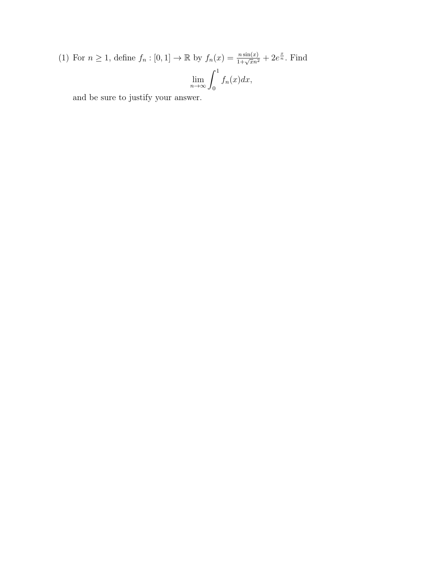(1) For  $n \geq 1$ , define  $f_n : [0,1] \to \mathbb{R}$  by  $f_n(x) = \frac{n \sin(x)}{1 + \sqrt{x}n^2} + 2e^{\frac{x}{n}}$ . Find  $\lim_{n\to\infty}\int_0^1$  $f_n(x)dx$ ,

and be sure to justify your answer.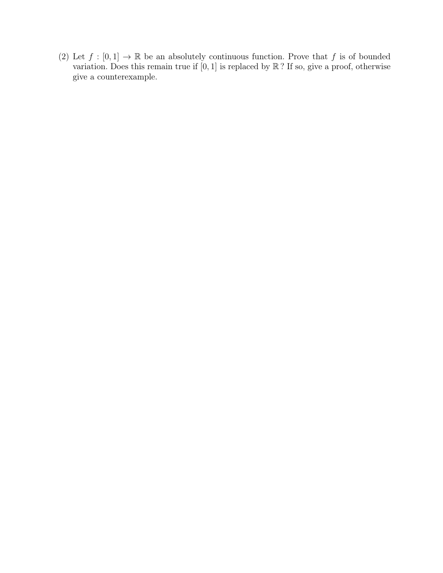(2) Let  $f : [0,1] \to \mathbb{R}$  be an absolutely continuous function. Prove that f is of bounded variation. Does this remain true if  $[0, 1]$  is replaced by  $\mathbb{R}$ ? If so, give a proof, otherwise give a counterexample.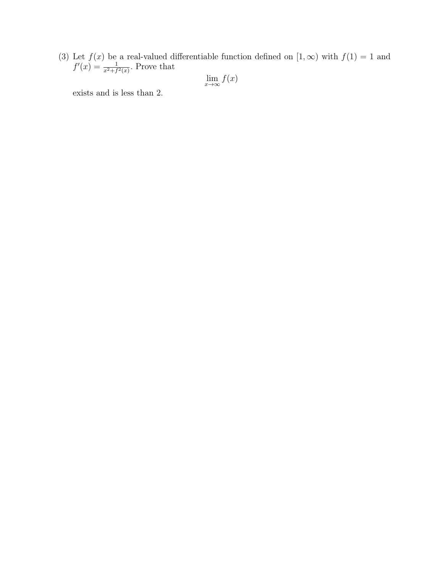(3) Let  $f(x)$  be a real-valued differentiable function defined on  $[1,\infty)$  with  $f(1) = 1$  and  $f'(x) = \frac{1}{x^2 + f^2(x)}$ . Prove that

$$
\lim_{x \to \infty} f(x)
$$

exists and is less than 2.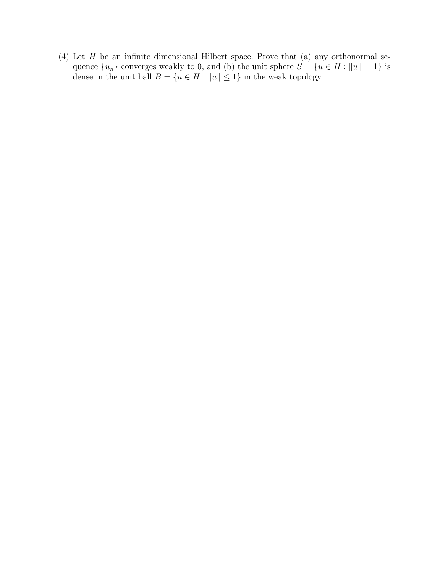(4) Let  $H$  be an infinite dimensional Hilbert space. Prove that (a) any orthonormal sequence  ${u_n}$  converges weakly to 0, and (b) the unit sphere  $S = {u \in H : ||u|| = 1}$  is dense in the unit ball  $B = \{u \in H : ||u|| \leq 1\}$  in the weak topology.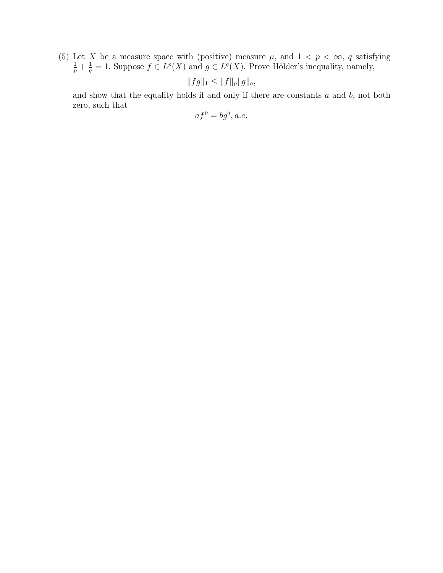(5) Let X be a measure space with (positive) measure  $\mu$ , and  $1 < p < \infty$ , q satisfying  $rac{1}{p} + \frac{1}{q}$  $\frac{1}{q} = 1$ . Suppose  $f \in L^p(X)$  and  $g \in L^q(X)$ . Prove Hölder's inequality, namely,

$$
||fg||_1 \leq ||f||_p ||g||_q,
$$

and show that the equality holds if and only if there are constants  $a$  and  $b$ , not both zero, such that

$$
af^p = bg^q, a.e.
$$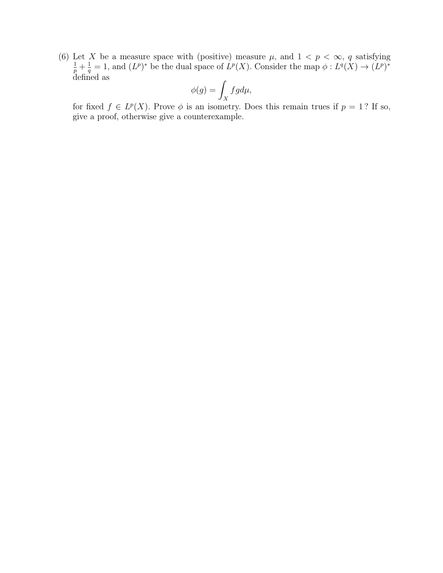(6) Let X be a measure space with (positive) measure  $\mu$ , and  $1 < p < \infty$ , q satisfying  $rac{1}{p} + \frac{1}{q}$  $\frac{1}{q} = 1$ , and  $(L^p)^*$  be the dual space of  $L^p(X)$ . Consider the map  $\phi: L^q(X) \to (L^p)^*$ defined as

$$
\phi(g) = \int_X fg d\mu,
$$

for fixed  $f \in L^p(X)$ . Prove  $\phi$  is an isometry. Does this remain trues if  $p = 1$ ? If so, give a proof, otherwise give a counterexample.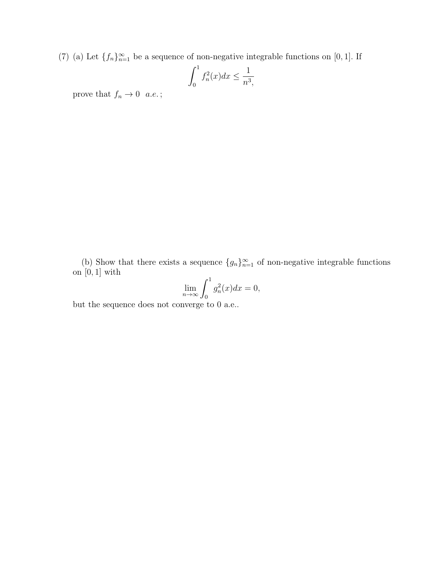(7) (a) Let  $\{f_n\}_{n=1}^{\infty}$  be a sequence of non-negative integrable functions on [0, 1]. If

$$
\int_0^1 f_n^2(x)dx \le \frac{1}{n^3},
$$

prove that  $f_n \to 0$  a.e.;

(b) Show that there exists a sequence  $\{g_n\}_{n=1}^{\infty}$  of non-negative integrable functions on  $[0, 1]$  with

$$
\lim_{n \to \infty} \int_0^1 g_n^2(x) dx = 0,
$$

but the sequence does not converge to 0 a.e..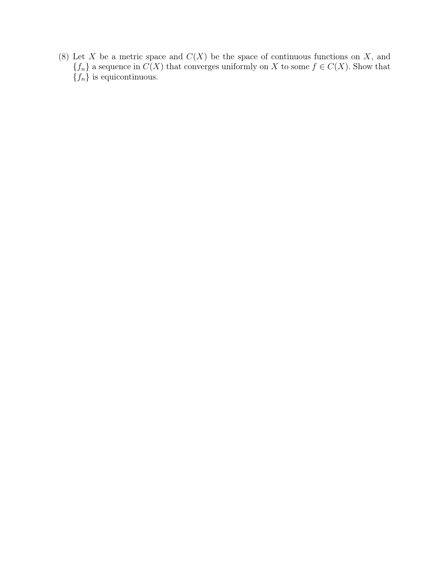(8) Let X be a metric space and  $C(X)$  be the space of continuous functions on X, and  ${f_n}$  a sequence in  $C(X)$  that converges uniformly on X to some  $f \in C(X)$ . Show that  ${f_n}$  is equicontinuous.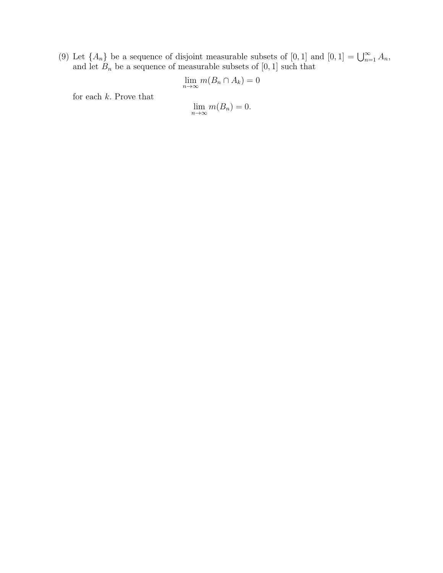(9) Let  $\{A_n\}$  be a sequence of disjoint measurable subsets of  $[0,1]$  and  $[0,1] = \bigcup_{n=1}^{\infty} A_n$ , and let  $B_n$  be a sequence of measurable subsets of  $[0, 1]$  such that

$$
\lim_{n \to \infty} m(B_n \cap A_k) = 0
$$

for each  $k$ . Prove that

$$
\lim_{n \to \infty} m(B_n) = 0.
$$